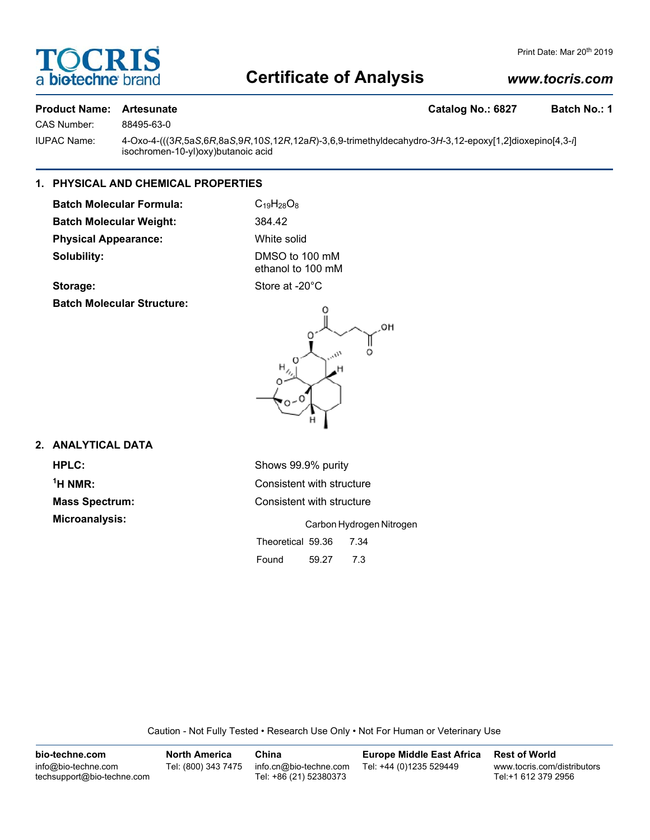

# **Certificate of Analysis**

# *www.tocris.com*

# **Product Name: Artesunate Catalog No.: 6827 Batch No.: 1**

CAS Number: 88495-63-0

IUPAC Name: 4-Oxo-4-(((3*R*,5a*S*,6*R*,8a*S*,9*R*,10*S*,12*R*,12a*R*)-3,6,9-trimethyldecahydro-3*H*-3,12-epoxy[1,2]dioxepino[4,3-*i*] isochromen-10-yl)oxy)butanoic acid

# **1. PHYSICAL AND CHEMICAL PROPERTIES**

**Batch Molecular Formula:** C<sub>19</sub>H<sub>28</sub>O<sub>8</sub> **Batch Molecular Weight:** 384.42 **Physical Appearance:** White solid **Solubility:** DMSO to 100 mM

ethanol to 100 mM

# Storage: Store at -20°C

**Batch Molecular Structure:**



# **2. ANALYTICAL DATA**

 $<sup>1</sup>H NMR$ :</sup>

**HPLC:** Shows 99.9% purity **Consistent with structure Mass Spectrum:** Consistent with structure **Microanalysis:** Carbon Hydrogen Nitrogen Theoretical 59.36 7.34 Found 59.27 7.3

Caution - Not Fully Tested • Research Use Only • Not For Human or Veterinary Use